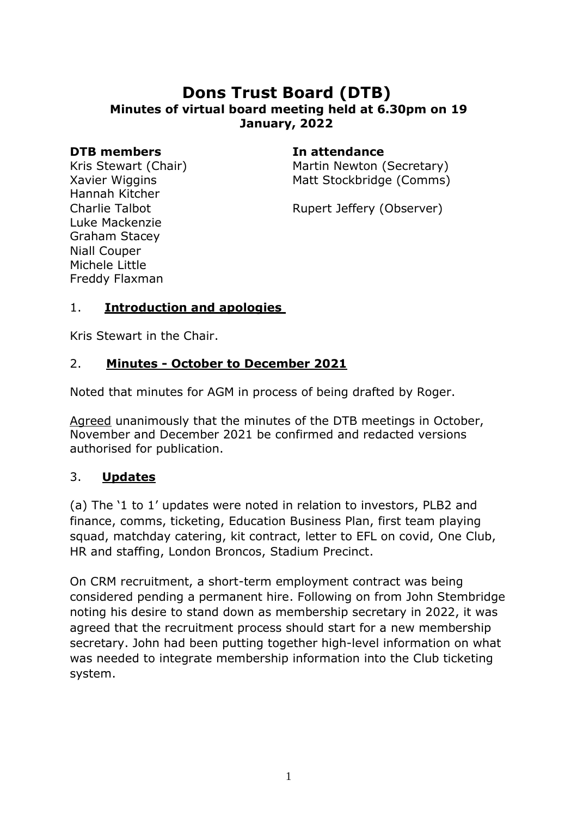## **Dons Trust Board (DTB) Minutes of virtual board meeting held at 6.30pm on 19 January, 2022**

#### **DTB members In attendance**

Kris Stewart (Chair) Xavier Wiggins Hannah Kitcher Charlie Talbot Luke Mackenzie Graham Stacey Niall Couper Michele Little Freddy Flaxman

Martin Newton (Secretary) Matt Stockbridge (Comms)

Rupert Jeffery (Observer)

### 1. **Introduction and apologies**

Kris Stewart in the Chair.

### 2. **Minutes - October to December 2021**

Noted that minutes for AGM in process of being drafted by Roger.

Agreed unanimously that the minutes of the DTB meetings in October, November and December 2021 be confirmed and redacted versions authorised for publication.

#### 3. **Updates**

(a) The '1 to 1' updates were noted in relation to investors, PLB2 and finance, comms, ticketing, Education Business Plan, first team playing squad, matchday catering, kit contract, letter to EFL on covid, One Club, HR and staffing, London Broncos, Stadium Precinct.

On CRM recruitment, a short-term employment contract was being considered pending a permanent hire. Following on from John Stembridge noting his desire to stand down as membership secretary in 2022, it was agreed that the recruitment process should start for a new membership secretary. John had been putting together high-level information on what was needed to integrate membership information into the Club ticketing system.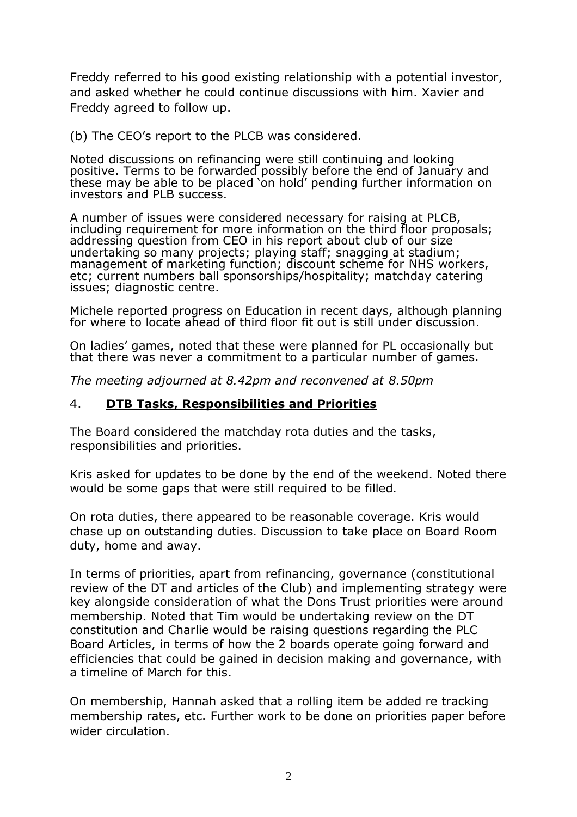Freddy referred to his good existing relationship with a potential investor, and asked whether he could continue discussions with him. Xavier and Freddy agreed to follow up.

(b) The CEO's report to the PLCB was considered.

Noted discussions on refinancing were still continuing and looking positive. Terms to be forwarded possibly before the end of January and these may be able to be placed 'on hold' pending further information on investors and PLB success.

A number of issues were considered necessary for raising at PLCB, including requirement for more information on the third floor proposals; addressing question from CEO in his report about club of our size undertaking so many projects; playing staff; snagging at stadium; management of marketing function; discount scheme for NHS workers, etc; current numbers ball sponsorships/hospitality; matchday catering issues; diagnostic centre.

Michele reported progress on Education in recent days, although planning for where to locate ahead of third floor fit out is still under discussion.

On ladies' games, noted that these were planned for PL occasionally but that there was never a commitment to a particular number of games.

*The meeting adjourned at 8.42pm and reconvened at 8.50pm*

#### 4. **DTB Tasks, Responsibilities and Priorities**

The Board considered the matchday rota duties and the tasks, responsibilities and priorities.

Kris asked for updates to be done by the end of the weekend. Noted there would be some gaps that were still required to be filled.

On rota duties, there appeared to be reasonable coverage. Kris would chase up on outstanding duties. Discussion to take place on Board Room duty, home and away.

In terms of priorities, apart from refinancing, governance (constitutional review of the DT and articles of the Club) and implementing strategy were key alongside consideration of what the Dons Trust priorities were around membership. Noted that Tim would be undertaking review on the DT constitution and Charlie would be raising questions regarding the PLC Board Articles, in terms of how the 2 boards operate going forward and efficiencies that could be gained in decision making and governance, with a timeline of March for this.

On membership, Hannah asked that a rolling item be added re tracking membership rates, etc. Further work to be done on priorities paper before wider circulation.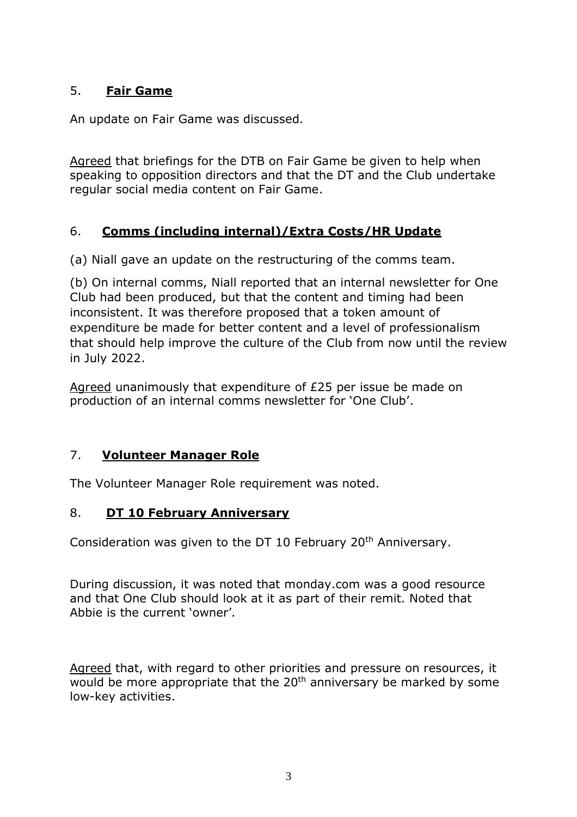## 5. **Fair Game**

An update on Fair Game was discussed.

Agreed that briefings for the DTB on Fair Game be given to help when speaking to opposition directors and that the DT and the Club undertake regular social media content on Fair Game.

### 6. **Comms (including internal)/Extra Costs/HR Update**

(a) Niall gave an update on the restructuring of the comms team.

(b) On internal comms, Niall reported that an internal newsletter for One Club had been produced, but that the content and timing had been inconsistent. It was therefore proposed that a token amount of expenditure be made for better content and a level of professionalism that should help improve the culture of the Club from now until the review in July 2022.

Agreed unanimously that expenditure of £25 per issue be made on production of an internal comms newsletter for 'One Club'.

#### 7. **Volunteer Manager Role**

The Volunteer Manager Role requirement was noted.

#### 8. **DT 10 February Anniversary**

Consideration was given to the DT 10 February 20<sup>th</sup> Anniversary.

During discussion, it was noted that monday.com was a good resource and that One Club should look at it as part of their remit. Noted that Abbie is the current 'owner'.

Agreed that, with regard to other priorities and pressure on resources, it would be more appropriate that the 20<sup>th</sup> anniversary be marked by some low-key activities.